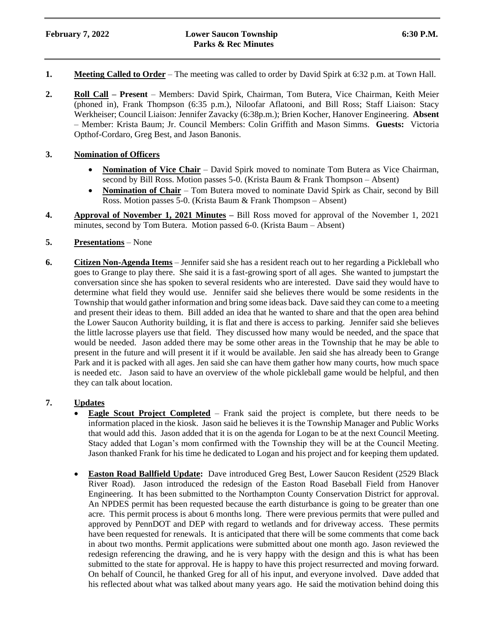# **February 7, 2022 Lower Saucon Township 6:30 P.M. Parks & Rec Minutes**

- **1. Meeting Called to Order** The meeting was called to order by David Spirk at 6:32 p.m. at Town Hall.
- **2. Roll Call – Present** Members: David Spirk, Chairman, Tom Butera, Vice Chairman, Keith Meier (phoned in), Frank Thompson (6:35 p.m.), Niloofar Aflatooni, and Bill Ross; Staff Liaison: Stacy Werkheiser; Council Liaison: Jennifer Zavacky (6:38p.m.); Brien Kocher, Hanover Engineering. **Absent** – Member: Krista Baum; Jr. Council Members: Colin Griffith and Mason Simms. **Guests:** Victoria Opthof-Cordaro, Greg Best, and Jason Banonis.

## **3. Nomination of Officers**

- **Nomination of Vice Chair** David Spirk moved to nominate Tom Butera as Vice Chairman, second by Bill Ross. Motion passes 5-0. (Krista Baum & Frank Thompson – Absent)
- **Nomination of Chair** Tom Butera moved to nominate David Spirk as Chair, second by Bill Ross. Motion passes 5-0. (Krista Baum & Frank Thompson – Absent)
- **4. Approval of November 1, 2021 Minutes –** Bill Ross moved for approval of the November 1, 2021 minutes, second by Tom Butera. Motion passed 6-0. (Krista Baum – Absent)

#### **5. Presentations** – None

**6. Citizen Non-Agenda Items** – Jennifer said she has a resident reach out to her regarding a Pickleball who goes to Grange to play there. She said it is a fast-growing sport of all ages. She wanted to jumpstart the conversation since she has spoken to several residents who are interested. Dave said they would have to determine what field they would use. Jennifer said she believes there would be some residents in the Township that would gather information and bring some ideas back. Dave said they can come to a meeting and present their ideas to them. Bill added an idea that he wanted to share and that the open area behind the Lower Saucon Authority building, it is flat and there is access to parking. Jennifer said she believes the little lacrosse players use that field. They discussed how many would be needed, and the space that would be needed. Jason added there may be some other areas in the Township that he may be able to present in the future and will present it if it would be available. Jen said she has already been to Grange Park and it is packed with all ages. Jen said she can have them gather how many courts, how much space is needed etc. Jason said to have an overview of the whole pickleball game would be helpful, and then they can talk about location.

# **7. Updates**

- **Eagle Scout Project Completed** Frank said the project is complete, but there needs to be information placed in the kiosk. Jason said he believes it is the Township Manager and Public Works that would add this. Jason added that it is on the agenda for Logan to be at the next Council Meeting. Stacy added that Logan's mom confirmed with the Township they will be at the Council Meeting. Jason thanked Frank for his time he dedicated to Logan and his project and for keeping them updated.
- **Easton Road Ballfield Update:** Dave introduced Greg Best, Lower Saucon Resident (2529 Black River Road). Jason introduced the redesign of the Easton Road Baseball Field from Hanover Engineering. It has been submitted to the Northampton County Conservation District for approval. An NPDES permit has been requested because the earth disturbance is going to be greater than one acre. This permit process is about 6 months long. There were previous permits that were pulled and approved by PennDOT and DEP with regard to wetlands and for driveway access. These permits have been requested for renewals. It is anticipated that there will be some comments that come back in about two months. Permit applications were submitted about one month ago. Jason reviewed the redesign referencing the drawing, and he is very happy with the design and this is what has been submitted to the state for approval. He is happy to have this project resurrected and moving forward. On behalf of Council, he thanked Greg for all of his input, and everyone involved. Dave added that his reflected about what was talked about many years ago. He said the motivation behind doing this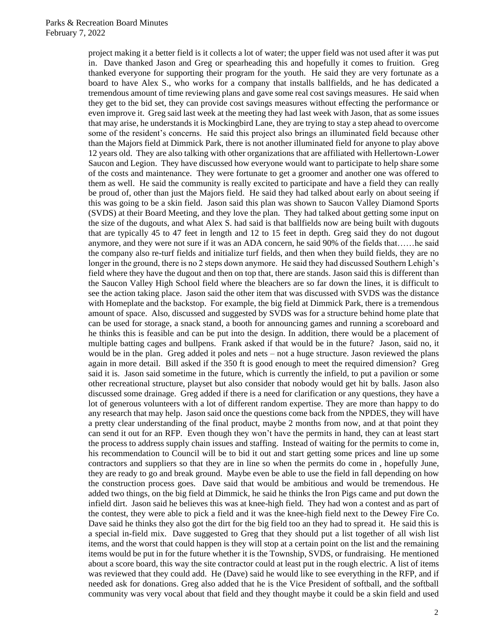project making it a better field is it collects a lot of water; the upper field was not used after it was put in. Dave thanked Jason and Greg or spearheading this and hopefully it comes to fruition. Greg thanked everyone for supporting their program for the youth. He said they are very fortunate as a board to have Alex S., who works for a company that installs ballfields, and he has dedicated a tremendous amount of time reviewing plans and gave some real cost savings measures. He said when they get to the bid set, they can provide cost savings measures without effecting the performance or even improve it. Greg said last week at the meeting they had last week with Jason, that as some issues that may arise, he understands it is Mockingbird Lane, they are trying to stay a step ahead to overcome some of the resident's concerns. He said this project also brings an illuminated field because other than the Majors field at Dimmick Park, there is not another illuminated field for anyone to play above 12 years old. They are also talking with other organizations that are affiliated with Hellertown-Lower Saucon and Legion. They have discussed how everyone would want to participate to help share some of the costs and maintenance. They were fortunate to get a groomer and another one was offered to them as well. He said the community is really excited to participate and have a field they can really be proud of, other than just the Majors field. He said they had talked about early on about seeing if this was going to be a skin field. Jason said this plan was shown to Saucon Valley Diamond Sports (SVDS) at their Board Meeting, and they love the plan. They had talked about getting some input on the size of the dugouts, and what Alex S. had said is that ballfields now are being built with dugouts that are typically 45 to 47 feet in length and 12 to 15 feet in depth. Greg said they do not dugout anymore, and they were not sure if it was an ADA concern, he said 90% of the fields that……he said the company also re-turf fields and initialize turf fields, and then when they build fields, they are no longer in the ground, there is no 2 steps down anymore. He said they had discussed Southern Lehigh's field where they have the dugout and then on top that, there are stands. Jason said this is different than the Saucon Valley High School field where the bleachers are so far down the lines, it is difficult to see the action taking place. Jason said the other item that was discussed with SVDS was the distance with Homeplate and the backstop. For example, the big field at Dimmick Park, there is a tremendous amount of space. Also, discussed and suggested by SVDS was for a structure behind home plate that can be used for storage, a snack stand, a booth for announcing games and running a scoreboard and he thinks this is feasible and can be put into the design. In addition, there would be a placement of multiple batting cages and bullpens. Frank asked if that would be in the future? Jason, said no, it would be in the plan. Greg added it poles and nets – not a huge structure. Jason reviewed the plans again in more detail. Bill asked if the 350 ft is good enough to meet the required dimension? Greg said it is. Jason said sometime in the future, which is currently the infield, to put a pavilion or some other recreational structure, playset but also consider that nobody would get hit by balls. Jason also discussed some drainage. Greg added if there is a need for clarification or any questions, they have a lot of generous volunteers with a lot of different random expertise. They are more than happy to do any research that may help. Jason said once the questions come back from the NPDES, they will have a pretty clear understanding of the final product, maybe 2 months from now, and at that point they can send it out for an RFP. Even though they won't have the permits in hand, they can at least start the process to address supply chain issues and staffing. Instead of waiting for the permits to come in, his recommendation to Council will be to bid it out and start getting some prices and line up some contractors and suppliers so that they are in line so when the permits do come in , hopefully June, they are ready to go and break ground. Maybe even be able to use the field in fall depending on how the construction process goes. Dave said that would be ambitious and would be tremendous. He added two things, on the big field at Dimmick, he said he thinks the Iron Pigs came and put down the infield dirt. Jason said he believes this was at knee-high field. They had won a contest and as part of the contest, they were able to pick a field and it was the knee-high field next to the Dewey Fire Co. Dave said he thinks they also got the dirt for the big field too an they had to spread it. He said this is a special in-field mix. Dave suggested to Greg that they should put a list together of all wish list items, and the worst that could happen is they will stop at a certain point on the list and the remaining items would be put in for the future whether it is the Township, SVDS, or fundraising. He mentioned about a score board, this way the site contractor could at least put in the rough electric. A list of items was reviewed that they could add. He (Dave) said he would like to see everything in the RFP, and if needed ask for donations. Greg also added that he is the Vice President of softball, and the softball community was very vocal about that field and they thought maybe it could be a skin field and used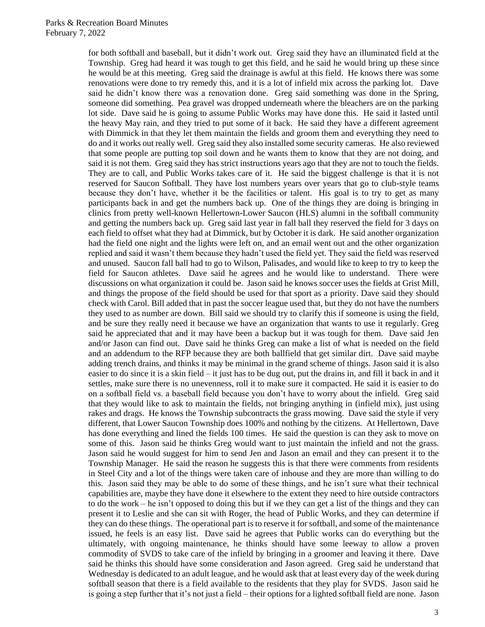for both softball and baseball, but it didn't work out. Greg said they have an illuminated field at the Township. Greg had heard it was tough to get this field, and he said he would bring up these since he would be at this meeting. Greg said the drainage is awful at this field. He knows there was some renovations were done to try remedy this, and it is a lot of infield mix across the parking lot. Dave said he didn't know there was a renovation done. Greg said something was done in the Spring, someone did something. Pea gravel was dropped underneath where the bleachers are on the parking lot side. Dave said he is going to assume Public Works may have done this. He said it lasted until the heavy May rain, and they tried to put some of it back. He said they have a different agreement with Dimmick in that they let them maintain the fields and groom them and everything they need to do and it works out really well. Greg said they also installed some security cameras. He also reviewed that some people are putting top soil down and he wants them to know that they are not doing, and said it is not them. Greg said they has strict instructions years ago that they are not to touch the fields. They are to call, and Public Works takes care of it. He said the biggest challenge is that it is not reserved for Saucon Softball. They have lost numbers years over years that go to club-style teams because they don't have, whether it be the facilities or talent. His goal is to try to get as many participants back in and get the numbers back up. One of the things they are doing is bringing in clinics from pretty well-known Hellertown-Lower Saucon (HLS) alumni in the softball community and getting the numbers back up. Greg said last year in fall ball they reserved the field for 3 days on each field to offset what they had at Dimmick, but by October it is dark. He said another organization had the field one night and the lights were left on, and an email went out and the other organization replied and said it wasn't them because they hadn't used the field yet. They said the field was reserved and unused. Saucon fall ball had to go to Wilson, Palisades, and would like to keep to try to keep the field for Saucon athletes. Dave said he agrees and he would like to understand. There were discussions on what organization it could be. Jason said he knows soccer uses the fields at Grist Mill, and things the propose of the field should be used for that sport as a priority. Dave said they should check with Carol. Bill added that in past the soccer league used that, but they do not have the numbers they used to as number are down. Bill said we should try to clarify this if someone is using the field, and be sure they really need it because we have an organization that wants to use it regularly. Greg said he appreciated that and it may have been a backup but it was tough for them. Dave said Jen and/or Jason can find out. Dave said he thinks Greg can make a list of what is needed on the field and an addendum to the RFP because they are both ballfield that get similar dirt. Dave said maybe adding trench drains, and thinks it may be minimal in the grand scheme of things. Jason said it is also easier to do since it is a skin field – it just has to be dug out, put the drains in, and fill it back in and it settles, make sure there is no unevenness, roll it to make sure it compacted. He said it is easier to do on a softball field vs. a baseball field because you don't have to worry about the infield. Greg said that they would like to ask to maintain the fields, not bringing anything in (infield mix), just using rakes and drags. He knows the Township subcontracts the grass mowing. Dave said the style if very different, that Lower Saucon Township does 100% and nothing by the citizens. At Hellertown, Dave has done everything and lined the fields 100 times. He said the question is can they ask to move on some of this. Jason said he thinks Greg would want to just maintain the infield and not the grass. Jason said he would suggest for him to send Jen and Jason an email and they can present it to the Township Manager. He said the reason he suggests this is that there were comments from residents in Steel City and a lot of the things were taken care of inhouse and they are more than willing to do this. Jason said they may be able to do some of these things, and he isn't sure what their technical capabilities are, maybe they have done it elsewhere to the extent they need to hire outside contractors to do the work – he isn't opposed to doing this but if we they can get a list of the things and they can present it to Leslie and she can sit with Roger, the head of Public Works, and they can determine if they can do these things. The operational part is to reserve it for softball, and some of the maintenance issued, he feels is an easy list. Dave said he agrees that Public works can do everything but the ultimately, with ongoing maintenance, he thinks should have some leeway to allow a proven commodity of SVDS to take care of the infield by bringing in a groomer and leaving it there. Dave said he thinks this should have some consideration and Jason agreed. Greg said he understand that Wednesday is dedicated to an adult league, and he would ask that at least every day of the week during softball season that there is a field available to the residents that they play for SVDS. Jason said he is going a step further that it's not just a field – their options for a lighted softball field are none. Jason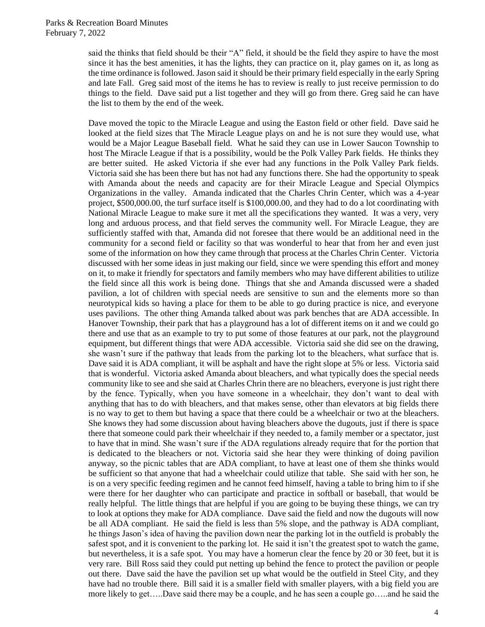said the thinks that field should be their "A" field, it should be the field they aspire to have the most since it has the best amenities, it has the lights, they can practice on it, play games on it, as long as the time ordinance is followed. Jason said it should be their primary field especially in the early Spring and late Fall. Greg said most of the items he has to review is really to just receive permission to do things to the field. Dave said put a list together and they will go from there. Greg said he can have the list to them by the end of the week.

Dave moved the topic to the Miracle League and using the Easton field or other field. Dave said he looked at the field sizes that The Miracle League plays on and he is not sure they would use, what would be a Major League Baseball field. What he said they can use in Lower Saucon Township to host The Miracle League if that is a possibility, would be the Polk Valley Park fields. He thinks they are better suited. He asked Victoria if she ever had any functions in the Polk Valley Park fields. Victoria said she has been there but has not had any functions there. She had the opportunity to speak with Amanda about the needs and capacity are for their Miracle League and Special Olympics Organizations in the valley. Amanda indicated that the Charles Chrin Center, which was a 4-year project, \$500,000.00, the turf surface itself is \$100,000.00, and they had to do a lot coordinating with National Miracle League to make sure it met all the specifications they wanted. It was a very, very long and arduous process, and that field serves the community well. For Miracle League, they are sufficiently staffed with that, Amanda did not foresee that there would be an additional need in the community for a second field or facility so that was wonderful to hear that from her and even just some of the information on how they came through that process at the Charles Chrin Center. Victoria discussed with her some ideas in just making our field, since we were spending this effort and money on it, to make it friendly for spectators and family members who may have different abilities to utilize the field since all this work is being done. Things that she and Amanda discussed were a shaded pavilion, a lot of children with special needs are sensitive to sun and the elements more so than neurotypical kids so having a place for them to be able to go during practice is nice, and everyone uses pavilions. The other thing Amanda talked about was park benches that are ADA accessible. In Hanover Township, their park that has a playground has a lot of different items on it and we could go there and use that as an example to try to put some of those features at our park, not the playground equipment, but different things that were ADA accessible. Victoria said she did see on the drawing, she wasn't sure if the pathway that leads from the parking lot to the bleachers, what surface that is. Dave said it is ADA compliant, it will be asphalt and have the right slope at 5% or less. Victoria said that is wonderful. Victoria asked Amanda about bleachers, and what typically does the special needs community like to see and she said at Charles Chrin there are no bleachers, everyone is just right there by the fence. Typically, when you have someone in a wheelchair, they don't want to deal with anything that has to do with bleachers, and that makes sense, other than elevators at big fields there is no way to get to them but having a space that there could be a wheelchair or two at the bleachers. She knows they had some discussion about having bleachers above the dugouts, just if there is space there that someone could park their wheelchair if they needed to, a family member or a spectator, just to have that in mind. She wasn't sure if the ADA regulations already require that for the portion that is dedicated to the bleachers or not. Victoria said she hear they were thinking of doing pavilion anyway, so the picnic tables that are ADA compliant, to have at least one of them she thinks would be sufficient so that anyone that had a wheelchair could utilize that table. She said with her son, he is on a very specific feeding regimen and he cannot feed himself, having a table to bring him to if she were there for her daughter who can participate and practice in softball or baseball, that would be really helpful. The little things that are helpful if you are going to be buying these things, we can try to look at options they make for ADA compliance. Dave said the field and now the dugouts will now be all ADA compliant. He said the field is less than 5% slope, and the pathway is ADA compliant, he things Jason's idea of having the pavilion down near the parking lot in the outfield is probably the safest spot, and it is convenient to the parking lot. He said it isn't the greatest spot to watch the game, but nevertheless, it is a safe spot. You may have a homerun clear the fence by 20 or 30 feet, but it is very rare. Bill Ross said they could put netting up behind the fence to protect the pavilion or people out there. Dave said the have the pavilion set up what would be the outfield in Steel City, and they have had no trouble there. Bill said it is a smaller field with smaller players, with a big field you are more likely to get…..Dave said there may be a couple, and he has seen a couple go…..and he said the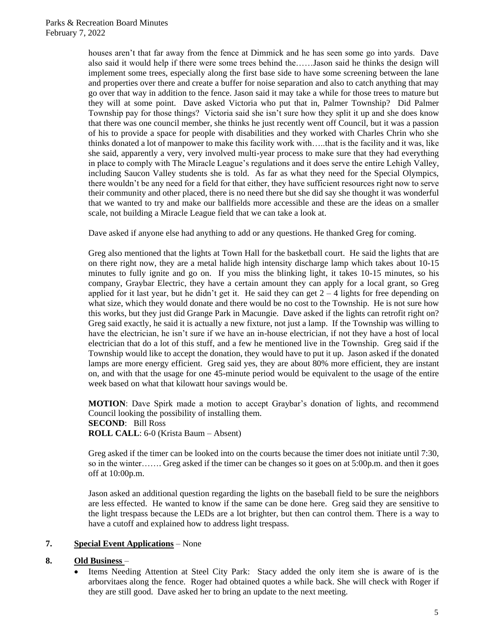houses aren't that far away from the fence at Dimmick and he has seen some go into yards. Dave also said it would help if there were some trees behind the……Jason said he thinks the design will implement some trees, especially along the first base side to have some screening between the lane and properties over there and create a buffer for noise separation and also to catch anything that may go over that way in addition to the fence. Jason said it may take a while for those trees to mature but they will at some point. Dave asked Victoria who put that in, Palmer Township? Did Palmer Township pay for those things? Victoria said she isn't sure how they split it up and she does know that there was one council member, she thinks he just recently went off Council, but it was a passion of his to provide a space for people with disabilities and they worked with Charles Chrin who she thinks donated a lot of manpower to make this facility work with…..that is the facility and it was, like she said, apparently a very, very involved multi-year process to make sure that they had everything in place to comply with The Miracle League's regulations and it does serve the entire Lehigh Valley, including Saucon Valley students she is told. As far as what they need for the Special Olympics, there wouldn't be any need for a field for that either, they have sufficient resources right now to serve their community and other placed, there is no need there but she did say she thought it was wonderful that we wanted to try and make our ballfields more accessible and these are the ideas on a smaller scale, not building a Miracle League field that we can take a look at.

Dave asked if anyone else had anything to add or any questions. He thanked Greg for coming.

Greg also mentioned that the lights at Town Hall for the basketball court. He said the lights that are on there right now, they are a metal halide high intensity discharge lamp which takes about 10-15 minutes to fully ignite and go on. If you miss the blinking light, it takes 10-15 minutes, so his company, Graybar Electric, they have a certain amount they can apply for a local grant, so Greg applied for it last year, but he didn't get it. He said they can get  $2 - 4$  lights for free depending on what size, which they would donate and there would be no cost to the Township. He is not sure how this works, but they just did Grange Park in Macungie. Dave asked if the lights can retrofit right on? Greg said exactly, he said it is actually a new fixture, not just a lamp. If the Township was willing to have the electrician, he isn't sure if we have an in-house electrician, if not they have a host of local electrician that do a lot of this stuff, and a few he mentioned live in the Township. Greg said if the Township would like to accept the donation, they would have to put it up. Jason asked if the donated lamps are more energy efficient. Greg said yes, they are about 80% more efficient, they are instant on, and with that the usage for one 45-minute period would be equivalent to the usage of the entire week based on what that kilowatt hour savings would be.

**MOTION**: Dave Spirk made a motion to accept Graybar's donation of lights, and recommend Council looking the possibility of installing them. **SECOND**: Bill Ross **ROLL CALL**: 6-0 (Krista Baum – Absent)

Greg asked if the timer can be looked into on the courts because the timer does not initiate until 7:30, so in the winter……. Greg asked if the timer can be changes so it goes on at 5:00p.m. and then it goes off at 10:00p.m.

Jason asked an additional question regarding the lights on the baseball field to be sure the neighbors are less effected. He wanted to know if the same can be done here. Greg said they are sensitive to the light trespass because the LEDs are a lot brighter, but then can control them. There is a way to have a cutoff and explained how to address light trespass.

## **7. Special Event Applications** – None

## **8. Old Business** –

• Items Needing Attention at Steel City Park: Stacy added the only item she is aware of is the arborvitaes along the fence. Roger had obtained quotes a while back. She will check with Roger if they are still good. Dave asked her to bring an update to the next meeting.